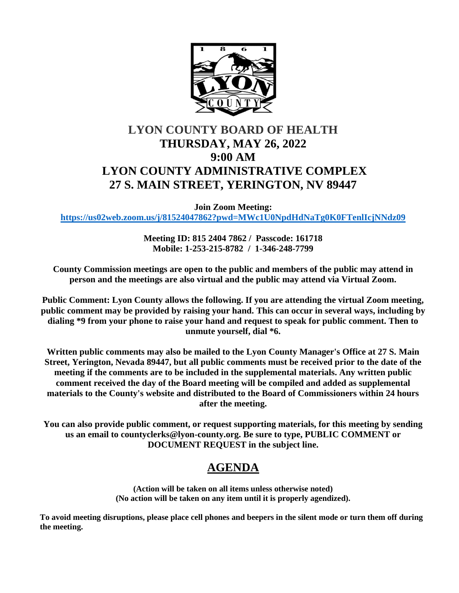

# **LYON COUNTY BOARD OF HEALTH THURSDAY, MAY 26, 2022 9:00 AM LYON COUNTY ADMINISTRATIVE COMPLEX 27 S. MAIN STREET, YERINGTON, NV 89447**

**Join Zoom Meeting:** 

**<https://us02web.zoom.us/j/81524047862?pwd=MWc1U0NpdHdNaTg0K0FTenlIcjNNdz09>**

**Meeting ID: 815 2404 7862 / Passcode: 161718 Mobile: 1-253-215-8782 / 1-346-248-7799** 

**County Commission meetings are open to the public and members of the public may attend in person and the meetings are also virtual and the public may attend via Virtual Zoom.** 

**Public Comment: Lyon County allows the following. If you are attending the virtual Zoom meeting, public comment may be provided by raising your hand. This can occur in several ways, including by dialing \*9 from your phone to raise your hand and request to speak for public comment. Then to unmute yourself, dial \*6.** 

**Written public comments may also be mailed to the Lyon County Manager's Office at 27 S. Main Street, Yerington, Nevada 89447, but all public comments must be received prior to the date of the meeting if the comments are to be included in the supplemental materials. Any written public comment received the day of the Board meeting will be compiled and added as supplemental materials to the County's website and distributed to the Board of Commissioners within 24 hours after the meeting.** 

**You can also provide public comment, or request supporting materials, for this meeting by sending us an email to countyclerks@lyon-county.org. Be sure to type, PUBLIC COMMENT or DOCUMENT REQUEST in the subject line.**

## **AGENDA**

**(Action will be taken on all items unless otherwise noted) (No action will be taken on any item until it is properly agendized).**

**To avoid meeting disruptions, please place cell phones and beepers in the silent mode or turn them off during the meeting.**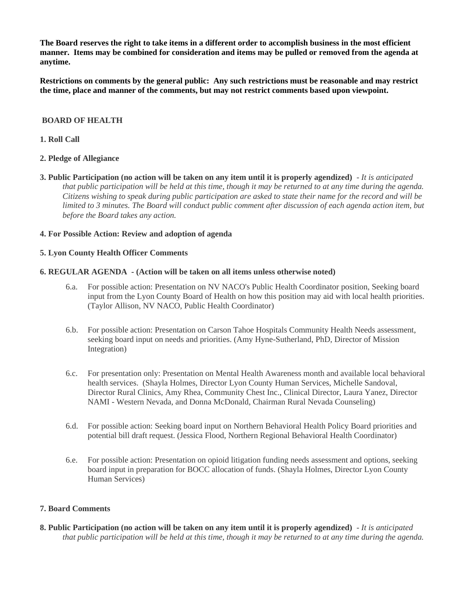**The Board reserves the right to take items in a different order to accomplish business in the most efficient manner. Items may be combined for consideration and items may be pulled or removed from the agenda at anytime.** 

**Restrictions on comments by the general public: Any such restrictions must be reasonable and may restrict the time, place and manner of the comments, but may not restrict comments based upon viewpoint.**

### **BOARD OF HEALTH**

## **1. Roll Call**

## **2. Pledge of Allegiance**

**3. Public Participation (no action will be taken on any item until it is properly agendized)** - *It is anticipated that public participation will be held at this time, though it may be returned to at any time during the agenda. Citizens wishing to speak during public participation are asked to state their name for the record and will be limited to 3 minutes. The Board will conduct public comment after discussion of each agenda action item, but before the Board takes any action.*

## **4. For Possible Action: Review and adoption of agenda**

### **5. Lyon County Health Officer Comments**

### **6. REGULAR AGENDA - (Action will be taken on all items unless otherwise noted)**

- 6.a. For possible action: Presentation on NV NACO's Public Health Coordinator position, Seeking board input from the Lyon County Board of Health on how this position may aid with local health priorities. (Taylor Allison, NV NACO, Public Health Coordinator)
- 6.b. For possible action: Presentation on Carson Tahoe Hospitals Community Health Needs assessment, seeking board input on needs and priorities. (Amy Hyne-Sutherland, PhD, Director of Mission Integration)
- 6.c. For presentation only: Presentation on Mental Health Awareness month and available local behavioral health services. (Shayla Holmes, Director Lyon County Human Services, Michelle Sandoval, Director Rural Clinics, Amy Rhea, Community Chest Inc., Clinical Director, Laura Yanez, Director NAMI - Western Nevada, and Donna McDonald, Chairman Rural Nevada Counseling)
- 6.d. For possible action: Seeking board input on Northern Behavioral Health Policy Board priorities and potential bill draft request. (Jessica Flood, Northern Regional Behavioral Health Coordinator)
- 6.e. For possible action: Presentation on opioid litigation funding needs assessment and options, seeking board input in preparation for BOCC allocation of funds. (Shayla Holmes, Director Lyon County Human Services)

### **7. Board Comments**

**8. Public Participation (no action will be taken on any item until it is properly agendized)** - *It is anticipated that public participation will be held at this time, though it may be returned to at any time during the agenda.*